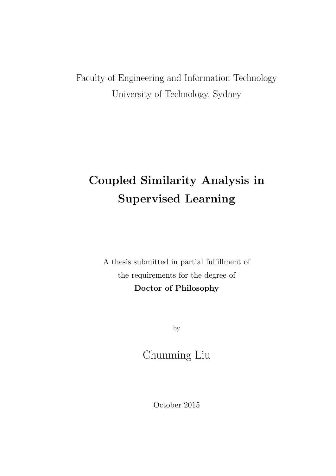Faculty of Engineering and Information Technology University of Technology, Sydney

## **Coupled Similarity Analysis in Supervised Learning**

A thesis submitted in partial fulfillment of the requirements for the degree of **Doctor of Philosophy**

by

Chunming Liu

October 2015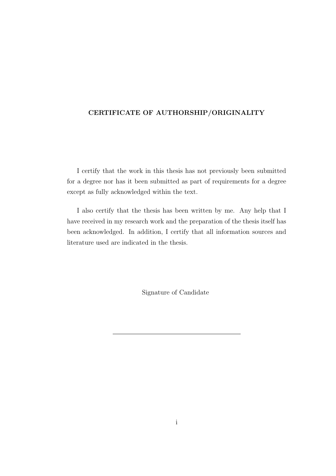#### **CERTIFICATE OF AUTHORSHIP/ORIGINALITY**

I certify that the work in this thesis has not previously been submitted for a degree nor has it been submitted as part of requirements for a degree except as fully acknowledged within the text.

I also certify that the thesis has been written by me. Any help that I have received in my research work and the preparation of the thesis itself has been acknowledged. In addition, I certify that all information sources and literature used are indicated in the thesis.

Signature of Candidate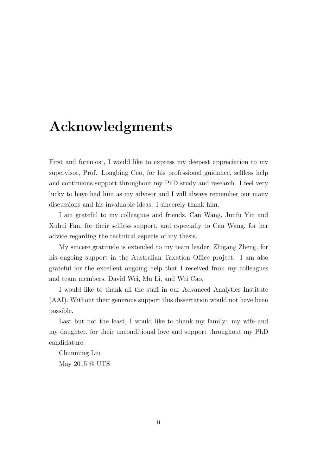## **Acknowledgments**

First and foremost, I would like to express my deepest appreciation to my supervisor, Prof. Longbing Cao, for his professional guidance, selfless help and continuous support throughout my PhD study and research. I feel very lucky to have had him as my advisor and I will always remember our many discussions and his invaluable ideas. I sincerely thank him.

I am grateful to my colleagues and friends, Can Wang, Junfu Yin and Xuhui Fan, for their selfless support, and especially to Can Wang, for her advice regarding the technical aspects of my thesis.

My sincere gratitude is extended to my team leader, Zhigang Zheng, for his ongoing support in the Australian Taxation Office project. I am also grateful for the excellent ongoing help that I received from my colleagues and team members, David Wei, Mu Li, and Wei Cao.

I would like to thank all the staff in our Advanced Analytics Institute (AAI). Without their generous support this dissertation would not have been possible.

Last but not the least, I would like to thank my family: my wife and my daughter, for their unconditional love and support throughout my PhD candidature.

Chunming Liu May 2015 @ UTS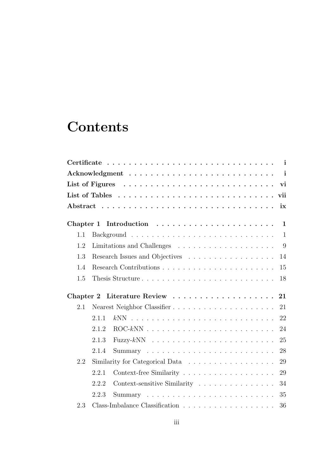# **Contents**

|     |       |                                                                           | $\mathbf{i}$ |
|-----|-------|---------------------------------------------------------------------------|--------------|
|     |       | List of Figures $\ldots \ldots \ldots \ldots \ldots \ldots \ldots \ldots$ | vi           |
|     |       |                                                                           |              |
|     |       |                                                                           | ix           |
|     |       | Chapter 1 Introduction $\ldots \ldots \ldots \ldots \ldots \ldots \ldots$ | $\mathbf{1}$ |
| 1.1 |       |                                                                           | $\mathbf{1}$ |
| 1.2 |       |                                                                           |              |
| 1.3 |       | 14                                                                        |              |
| 1.4 |       | 15                                                                        |              |
| 1.5 |       | Thesis Structure<br>18                                                    |              |
|     |       | 21                                                                        |              |
| 2.1 |       | Nearest Neighbor Classifier<br>21                                         |              |
|     | 2.1.1 | 22                                                                        |              |
|     | 2.1.2 | 24                                                                        |              |
|     | 2.1.3 | 25                                                                        |              |
|     | 2.1.4 | 28                                                                        |              |
| 2.2 |       | 29                                                                        |              |
|     | 2.2.1 |                                                                           | 29           |
|     |       |                                                                           |              |
|     | 2.2.2 | Context-sensitive Similarity<br>34                                        |              |
|     | 2.2.3 | 35                                                                        |              |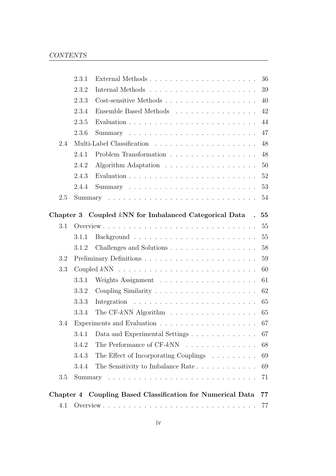|     | 2.3.1 | External Methods                                                | 36     |
|-----|-------|-----------------------------------------------------------------|--------|
|     | 2.3.2 |                                                                 | 39     |
|     | 2.3.3 | Cost-sensitive Methods                                          | 40     |
|     | 2.3.4 | Ensemble Based Methods                                          | 42     |
|     | 2.3.5 |                                                                 | 44     |
|     | 2.3.6 |                                                                 | 47     |
| 2.4 |       |                                                                 | 48     |
|     | 2.4.1 | Problem Transformation                                          | 48     |
|     | 2.4.2 |                                                                 | 50     |
|     | 2.4.3 |                                                                 | $52\,$ |
|     | 2.4.4 |                                                                 | 53     |
| 2.5 |       |                                                                 | 54     |
|     |       | Chapter 3 Coupled kNN for Imbalanced Categorical Data.          | 55     |
| 3.1 |       |                                                                 | 55     |
|     | 3.1.1 |                                                                 | 55     |
|     | 3.1.2 | Challenges and Solutions                                        | 58     |
| 3.2 |       |                                                                 | 59     |
| 3.3 |       |                                                                 | 60     |
|     | 3.3.1 |                                                                 | 61     |
|     | 3.3.2 | Coupling Similarity $\ldots \ldots \ldots \ldots \ldots \ldots$ | 62     |
|     | 3.3.3 |                                                                 | 65     |
|     | 3.3.4 | The CF-kNN Algorithm $\ldots \ldots \ldots \ldots \ldots$       | 65     |
| 3.4 |       |                                                                 | 67     |
|     | 3.4.1 | Data and Experimental Settings $\ldots \ldots \ldots \ldots$    | 67     |
|     | 3.4.2 | The Performance of $CF-kNN$                                     | 68     |
|     | 3.4.3 | The Effect of Incorporating Couplings                           | 69     |
|     | 3.4.4 | The Sensitivity to Imbalance Rate                               | 69     |
| 3.5 |       |                                                                 | 71     |
|     |       |                                                                 |        |
|     |       | Chapter 4 Coupling Based Classification for Numerical Data      | 77     |
| 4.1 |       |                                                                 | 77     |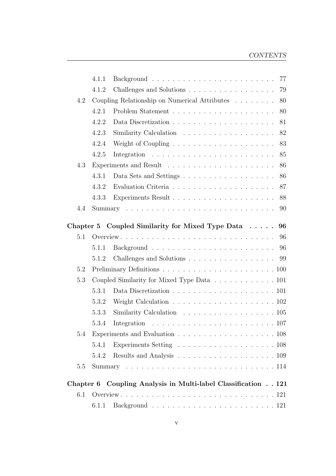#### CONTENTS

|           | 4.1.1 | 77<br>$Background \dots \dots \dots \dots \dots \dots \dots \dots \dots \dots$ |
|-----------|-------|--------------------------------------------------------------------------------|
|           | 4.1.2 | Challenges and Solutions<br>79                                                 |
| 4.2       |       | Coupling Relationship on Numerical Attributes $\ldots \ldots$<br>80            |
|           | 4.2.1 | 80                                                                             |
|           | 4.2.2 | 81                                                                             |
|           | 4.2.3 | 82                                                                             |
|           | 4.2.4 | Weight of Coupling $\ldots \ldots \ldots \ldots \ldots \ldots$<br>83           |
|           | 4.2.5 | 85                                                                             |
| 4.3       |       | 86                                                                             |
|           | 4.3.1 | 86                                                                             |
|           | 4.3.2 | 87                                                                             |
|           | 4.3.3 | 88                                                                             |
| 4.4       |       | 90                                                                             |
| Chapter 5 |       | Coupled Similarity for Mixed Type Data $\ldots$ .<br>96                        |
| 5.1       |       | 96                                                                             |
|           | 5.1.1 |                                                                                |
|           | 5.1.2 | Challenges and Solutions 99                                                    |
| 5.2       |       |                                                                                |
| 5.3       |       | Coupled Similarity for Mixed Type Data 101                                     |
|           | 5.3.1 | Data Discretization $\ldots \ldots \ldots \ldots \ldots \ldots \ldots 101$     |
|           | 5.3.2 | Weight Calculation $\ldots \ldots \ldots \ldots \ldots \ldots \ldots 102$      |
|           | 5.3.3 | Similarity Calculation $\ldots \ldots \ldots \ldots \ldots \ldots \ldots 105$  |
|           | 5.3.4 |                                                                                |
| 5.4       |       |                                                                                |
|           | 5.4.1 |                                                                                |
|           | 5.4.2 |                                                                                |
| 5.5       |       |                                                                                |
| Chapter 6 |       | Coupling Analysis in Multi-label Classification 121                            |
| 6.1       |       |                                                                                |
|           | 6.1.1 |                                                                                |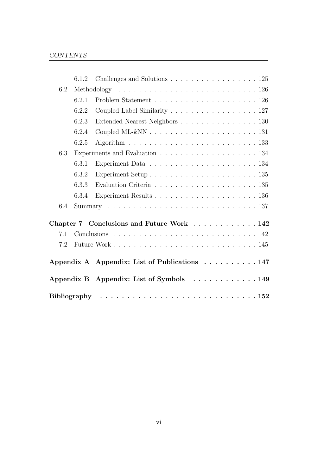|     | 6.1.2 | Challenges and Solutions $\ldots \ldots \ldots \ldots \ldots \ldots 125$             |
|-----|-------|--------------------------------------------------------------------------------------|
| 6.2 |       |                                                                                      |
|     | 6.2.1 |                                                                                      |
|     | 6.2.2 | Coupled Label Similarity 127                                                         |
|     | 6.2.3 | Extended Nearest Neighbors 130                                                       |
|     | 6.2.4 |                                                                                      |
|     | 6.2.5 | Algorithm $\ldots \ldots \ldots \ldots \ldots \ldots \ldots \ldots \ldots 133$       |
| 6.3 |       |                                                                                      |
|     | 6.3.1 | Experiment Data $\ldots \ldots \ldots \ldots \ldots \ldots \ldots 134$               |
|     | 6.3.2 | Experiment Setup $\ldots \ldots \ldots \ldots \ldots \ldots \ldots 135$              |
|     | 6.3.3 | Evaluation Criteria $\ldots \ldots \ldots \ldots \ldots \ldots \ldots 135$           |
|     | 6.3.4 | Experiment Results $\dots \dots \dots \dots \dots \dots \dots \dots \dots \dots 136$ |
| 6.4 |       |                                                                                      |
|     |       | Chapter 7 Conclusions and Future Work 142                                            |
| 7.1 |       |                                                                                      |
| 7.2 |       |                                                                                      |
|     |       | Appendix A Appendix: List of Publications 147                                        |
|     |       | Appendix B Appendix: List of Symbols $\dots \dots \dots \dots \dots$                 |
|     |       |                                                                                      |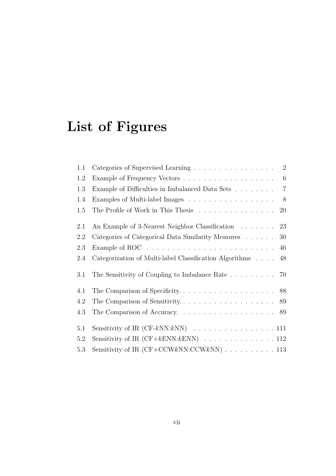# **List of Figures**

| 1.1 | Categories of Supervised Learning 2                                                |
|-----|------------------------------------------------------------------------------------|
| 1.2 |                                                                                    |
| 1.3 | $\overline{7}$<br>Example of Difficulties in Imbalanced Data Sets                  |
| 1.4 | Examples of Multi-label Images<br>8                                                |
| 1.5 | The Profile of Work in This Thesis<br>20                                           |
| 2.1 | An Example of 3-Nearest Neighbor Classification 23                                 |
| 2.2 | Categories of Categorical Data Similarity Measures 30                              |
| 2.3 | Example of ROC $\ldots \ldots \ldots \ldots \ldots \ldots \ldots \ldots \ldots 46$ |
| 2.4 | Categorization of Multi-label Classification Algorithms<br>48                      |
| 3.1 | The Sensitivity of Coupling to Imbalance Rate $\dots \dots \dots$ 70               |
| 4.1 |                                                                                    |
| 4.2 |                                                                                    |
| 4.3 |                                                                                    |
| 5.1 |                                                                                    |
| 5.2 | Sensitivity of IR $(CF + kENN: kENN)$ 112                                          |
| 5.3 |                                                                                    |
|     |                                                                                    |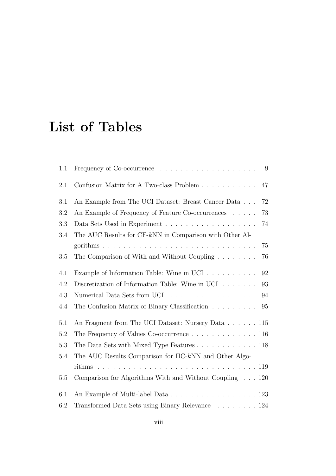## **List of Tables**

| 1.1 | - 9                                                                      |
|-----|--------------------------------------------------------------------------|
| 2.1 | 47                                                                       |
| 3.1 | 72<br>An Example from The UCI Dataset: Breast Cancer Data                |
| 3.2 | An Example of Frequency of Feature Co-occurrences<br>73                  |
| 3.3 | 74                                                                       |
| 3.4 | The AUC Results for $CF-kNN$ in Comparison with Other Al-                |
|     | 75                                                                       |
| 3.5 | The Comparison of With and Without Coupling<br>76                        |
| 4.1 | Example of Information Table: Wine in UCI<br>92                          |
| 4.2 | Discretization of Information Table: Wine in UCI $\dots \dots$<br>93     |
| 4.3 | Numerical Data Sets from UCI<br>94                                       |
| 4.4 | The Confusion Matrix of Binary Classification<br>95                      |
| 5.1 | An Fragment from The UCI Dataset: Nursery Data 115                       |
| 5.2 | The Frequency of Values Co-occurrence 116                                |
| 5.3 | The Data Sets with Mixed Type Features $\ldots \ldots \ldots \ldots 118$ |
| 5.4 | The AUC Results Comparison for HC-kNN and Other Algo-                    |
|     |                                                                          |
| 5.5 | Comparison for Algorithms With and Without Coupling $\ldots$ 120         |
| 6.1 | An Example of Multi-label Data 123                                       |
| 6.2 | Transformed Data Sets using Binary Relevance 124                         |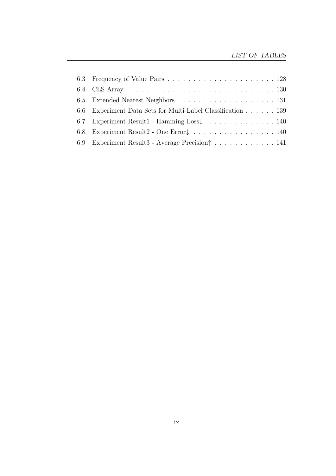|      | 6.6 Experiment Data Sets for Multi-Label Classification 139                           |
|------|---------------------------------------------------------------------------------------|
| 6.7  | Experiment Result1 - Hamming Loss $\downarrow \ldots \ldots \ldots \ldots \ldots 140$ |
| -6.8 | Experiment Result2 - One Error $\downarrow \ldots \ldots \ldots \ldots \ldots 140$    |
| 6.9  | Experiment Result3 - Average Precision   141                                          |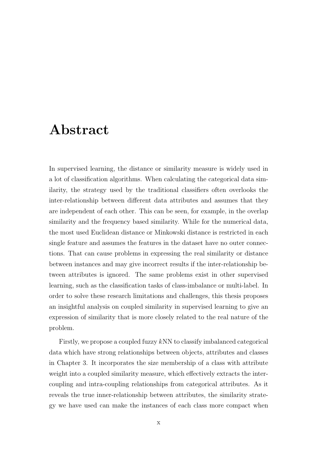### **Abstract**

In supervised learning, the distance or similarity measure is widely used in a lot of classification algorithms. When calculating the categorical data similarity, the strategy used by the traditional classifiers often overlooks the inter-relationship between different data attributes and assumes that they are independent of each other. This can be seen, for example, in the overlap similarity and the frequency based similarity. While for the numerical data, the most used Euclidean distance or Minkowski distance is restricted in each single feature and assumes the features in the dataset have no outer connections. That can cause problems in expressing the real similarity or distance between instances and may give incorrect results if the inter-relationship between attributes is ignored. The same problems exist in other supervised learning, such as the classification tasks of class-imbalance or multi-label. In order to solve these research limitations and challenges, this thesis proposes an insightful analysis on coupled similarity in supervised learning to give an expression of similarity that is more closely related to the real nature of the problem.

Firstly, we propose a coupled fuzzy kNN to classify imbalanced categorical data which have strong relationships between objects, attributes and classes in Chapter 3. It incorporates the size membership of a class with attribute weight into a coupled similarity measure, which effectively extracts the intercoupling and intra-coupling relationships from categorical attributes. As it reveals the true inner-relationship between attributes, the similarity strategy we have used can make the instances of each class more compact when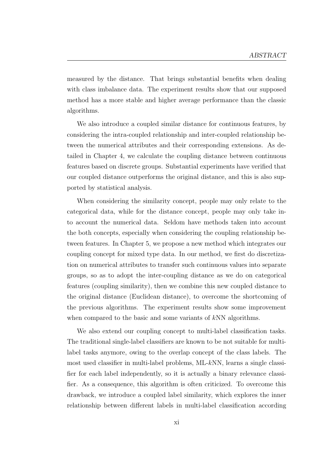measured by the distance. That brings substantial benefits when dealing with class imbalance data. The experiment results show that our supposed method has a more stable and higher average performance than the classic algorithms.

We also introduce a coupled similar distance for continuous features, by considering the intra-coupled relationship and inter-coupled relationship between the numerical attributes and their corresponding extensions. As detailed in Chapter 4, we calculate the coupling distance between continuous features based on discrete groups. Substantial experiments have verified that our coupled distance outperforms the original distance, and this is also supported by statistical analysis.

When considering the similarity concept, people may only relate to the categorical data, while for the distance concept, people may only take into account the numerical data. Seldom have methods taken into account the both concepts, especially when considering the coupling relationship between features. In Chapter 5, we propose a new method which integrates our coupling concept for mixed type data. In our method, we first do discretization on numerical attributes to transfer such continuous values into separate groups, so as to adopt the inter-coupling distance as we do on categorical features (coupling similarity), then we combine this new coupled distance to the original distance (Euclidean distance), to overcome the shortcoming of the previous algorithms. The experiment results show some improvement when compared to the basic and some variants of kNN algorithms.

We also extend our coupling concept to multi-label classification tasks. The traditional single-label classifiers are known to be not suitable for multilabel tasks anymore, owing to the overlap concept of the class labels. The most used classifier in multi-label problems, ML-kNN, learns a single classifier for each label independently, so it is actually a binary relevance classifier. As a consequence, this algorithm is often criticized. To overcome this drawback, we introduce a coupled label similarity, which explores the inner relationship between different labels in multi-label classification according